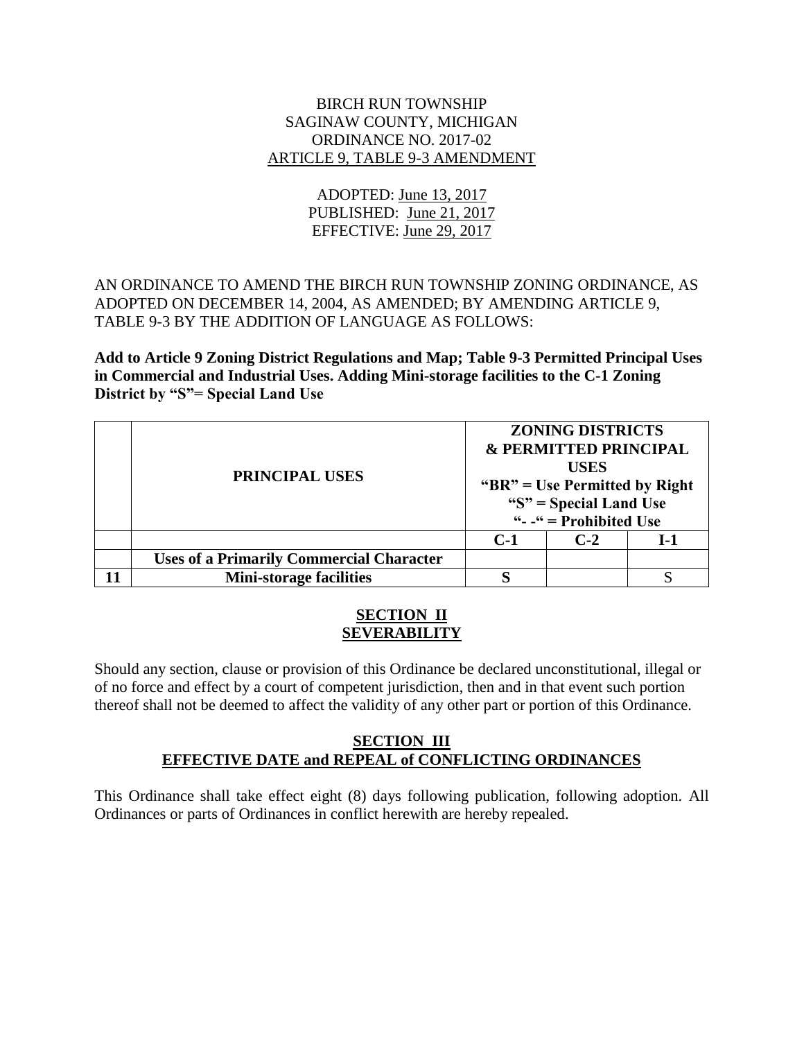### BIRCH RUN TOWNSHIP SAGINAW COUNTY, MICHIGAN ORDINANCE NO. 2017-02 ARTICLE 9, TABLE 9-3 AMENDMENT

# ADOPTED: June 13, 2017 PUBLISHED: June 21, 2017 EFFECTIVE: June 29, 2017

# AN ORDINANCE TO AMEND THE BIRCH RUN TOWNSHIP ZONING ORDINANCE, AS ADOPTED ON DECEMBER 14, 2004, AS AMENDED; BY AMENDING ARTICLE 9, TABLE 9-3 BY THE ADDITION OF LANGUAGE AS FOLLOWS:

**Add to Article 9 Zoning District Regulations and Map; Table 9-3 Permitted Principal Uses in Commercial and Industrial Uses. Adding Mini-storage facilities to the C-1 Zoning District by "S"= Special Land Use**

| PRINCIPAL USES                                  | <b>ZONING DISTRICTS</b><br>& PERMITTED PRINCIPAL<br><b>USES</b><br>" $BR$ " = Use Permitted by Right<br>" $S$ " = Special Land Use<br>" $-$ " = Prohibited Use |       |     |
|-------------------------------------------------|----------------------------------------------------------------------------------------------------------------------------------------------------------------|-------|-----|
|                                                 | $C-1$                                                                                                                                                          | $C-2$ | 1-1 |
| <b>Uses of a Primarily Commercial Character</b> |                                                                                                                                                                |       |     |
| <b>Mini-storage facilities</b>                  |                                                                                                                                                                |       |     |

### **SECTION II SEVERABILITY**

Should any section, clause or provision of this Ordinance be declared unconstitutional, illegal or of no force and effect by a court of competent jurisdiction, then and in that event such portion thereof shall not be deemed to affect the validity of any other part or portion of this Ordinance.

## **SECTION III EFFECTIVE DATE and REPEAL of CONFLICTING ORDINANCES**

This Ordinance shall take effect eight (8) days following publication, following adoption. All Ordinances or parts of Ordinances in conflict herewith are hereby repealed.